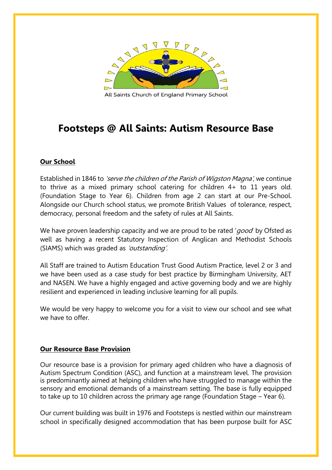

All Saints Church of England Primary School

# **Footsteps @ All Saints: Autism Resource Base**

# **Our School**

Established in 1846 to *'serve the children of the Parish of Wigston Magna'*, we continue to thrive as a mixed primary school catering for children 4+ to 11 years old. (Foundation Stage to Year 6). Children from age 2 can start at our Pre-School. Alongside our Church school status, we promote British [Values](http://www.allsaintsprimary.com/about-us/promoting-british-values-at-all-saints) of tolerance, respect, democracy, personal freedom and the safety of rules at All Saints.

We have proven leadership capacity and we are proud to be rated 'good' by Ofsted as well as having a recent Statutory Inspection of Anglican and Methodist Schools (SIAMS) which was graded as 'outstanding'.

All Staff are trained to Autism Education Trust Good Autism Practice, level 2 or 3 and we have been used as a case study for best practice by Birmingham University, AET and NASEN. We have a highly engaged and active governing body and we are highly resilient and experienced in leading inclusive learning for all pupils.

We would be very happy to welcome you for a visit to view our school and see what we have to offer.

# **Our Resource Base Provision**

Our resource base is a provision for primary aged children who have a diagnosis of Autism Spectrum Condition (ASC), and function at a mainstream level. The provision is predominantly aimed at helping children who have struggled to manage within the sensory and emotional demands of a mainstream setting. The base is fully equipped to take up to 10 children across the primary age range (Foundation Stage – Year 6).

Our current building was built in 1976 and Footsteps is nestled within our mainstream school in specifically designed accommodation that has been purpose built for ASC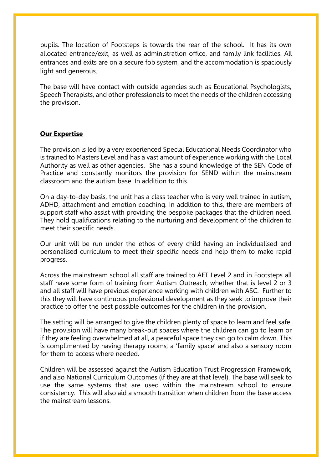pupils. The location of Footsteps is towards the rear of the school. It has its own allocated entrance/exit, as well as administration office, and family link facilities. All entrances and exits are on a secure fob system, and the accommodation is spaciously light and generous.

The base will have contact with outside agencies such as Educational Psychologists, Speech Therapists, and other professionals to meet the needs of the children accessing the provision.

# **Our Expertise**

The provision is led by a very experienced Special Educational Needs Coordinator who is trained to Masters Level and has a vast amount of experience working with the Local Authority as well as other agencies. She has a sound knowledge of the SEN Code of Practice and constantly monitors the provision for SEND within the mainstream classroom and the autism base. In addition to this

On a day-to-day basis, the unit has a class teacher who is very well trained in autism, ADHD, attachment and emotion coaching. In addition to this, there are members of support staff who assist with providing the bespoke packages that the children need. They hold qualifications relating to the nurturing and development of the children to meet their specific needs.

Our unit will be run under the ethos of every child having an individualised and personalised curriculum to meet their specific needs and help them to make rapid progress.

Across the mainstream school all staff are trained to AET Level 2 and in Footsteps all staff have some form of training from Autism Outreach, whether that is level 2 or 3 and all staff will have previous experience working with children with ASC. Further to this they will have continuous professional development as they seek to improve their practice to offer the best possible outcomes for the children in the provision.

The setting will be arranged to give the children plenty of space to learn and feel safe. The provision will have many break-out spaces where the children can go to learn or if they are feeling overwhelmed at all, a peaceful space they can go to calm down. This is complimented by having therapy rooms, a 'family space' and also a sensory room for them to access where needed.

Children will be assessed against the Autism Education Trust Progression Framework, and also National Curriculum Outcomes (if they are at that level). The base will seek to use the same systems that are used within the mainstream school to ensure consistency. This will also aid a smooth transition when children from the base access the mainstream lessons.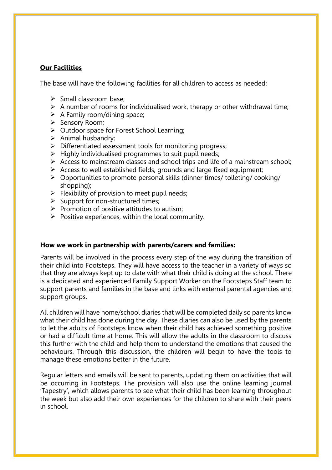# **Our Facilities**

The base will have the following facilities for all children to access as needed:

- $\triangleright$  Small classroom base:
- $\triangleright$  A number of rooms for individualised work, therapy or other withdrawal time;
- $\triangleright$  A Family room/dining space;
- $\triangleright$  Sensory Room;
- $\triangleright$  Outdoor space for Forest School Learning;
- $\triangleright$  Animal husbandry;
- $\triangleright$  Differentiated assessment tools for monitoring progress;
- $\triangleright$  Highly individualised programmes to suit pupil needs;
- Access to mainstream classes and school trips and life of a mainstream school;
- $\triangleright$  Access to well established fields, grounds and large fixed equipment;
- Opportunities to promote personal skills (dinner times/ toileting/ cooking/ shopping);
- $\triangleright$  Flexibility of provision to meet pupil needs;
- $\triangleright$  Support for non-structured times;
- $\triangleright$  Promotion of positive attitudes to autism;
- $\triangleright$  Positive experiences, within the local community.

#### **How we work in partnership with parents/carers and families:**

Parents will be involved in the process every step of the way during the transition of their child into Footsteps. They will have access to the teacher in a variety of ways so that they are always kept up to date with what their child is doing at the school. There is a dedicated and experienced Family Support Worker on the Footsteps Staff team to support parents and families in the base and links with external parental agencies and support groups.

All children will have home/school diaries that will be completed daily so parents know what their child has done during the day. These diaries can also be used by the parents to let the adults of Footsteps know when their child has achieved something positive or had a difficult time at home. This will allow the adults in the classroom to discuss this further with the child and help them to understand the emotions that caused the behaviours. Through this discussion, the children will begin to have the tools to manage these emotions better in the future.

Regular letters and emails will be sent to parents, updating them on activities that will be occurring in Footsteps. The provision will also use the online learning journal 'Tapestry', which allows parents to see what their child has been learning throughout the week but also add their own experiences for the children to share with their peers in school.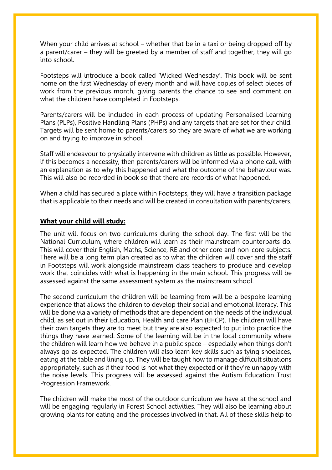When your child arrives at school – whether that be in a taxi or being dropped off by a parent/carer – they will be greeted by a member of staff and together, they will go into school.

Footsteps will introduce a book called 'Wicked Wednesday'. This book will be sent home on the first Wednesday of every month and will have copies of select pieces of work from the previous month, giving parents the chance to see and comment on what the children have completed in Footsteps.

Parents/carers will be included in each process of updating Personalised Learning Plans (PLPs), Positive Handling Plans (PHPs) and any targets that are set for their child. Targets will be sent home to parents/carers so they are aware of what we are working on and trying to improve in school.

Staff will endeavour to physically intervene with children as little as possible. However, if this becomes a necessity, then parents/carers will be informed via a phone call, with an explanation as to why this happened and what the outcome of the behaviour was. This will also be recorded in book so that there are records of what happened.

When a child has secured a place within Footsteps, they will have a transition package that is applicable to their needs and will be created in consultation with parents/carers.

#### **What your child will study:**

The unit will focus on two curriculums during the school day. The first will be the National Curriculum, where children will learn as their mainstream counterparts do. This will cover their English, Maths, Science, RE and other core and non-core subjects. There will be a long term plan created as to what the children will cover and the staff in Footsteps will work alongside mainstream class teachers to produce and develop work that coincides with what is happening in the main school. This progress will be assessed against the same assessment system as the mainstream school.

The second curriculum the children will be learning from will be a bespoke learning experience that allows the children to develop their social and emotional literacy. This will be done via a variety of methods that are dependent on the needs of the individual child, as set out in their Education, Health and care Plan (EHCP). The children will have their own targets they are to meet but they are also expected to put into practice the things they have learned. Some of the learning will be in the local community where the children will learn how we behave in a public space – especially when things don't always go as expected. The children will also learn key skills such as tying shoelaces, eating at the table and lining up. They will be taught how to manage difficult situations appropriately, such as if their food is not what they expected or if they're unhappy with the noise levels. This progress will be assessed against the Autism Education Trust Progression Framework.

The children will make the most of the outdoor curriculum we have at the school and will be engaging regularly in Forest School activities. They will also be learning about growing plants for eating and the processes involved in that. All of these skills help to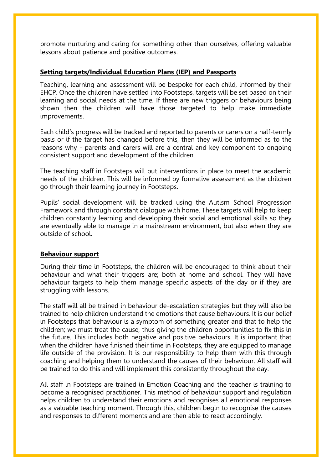promote nurturing and caring for something other than ourselves, offering valuable lessons about patience and positive outcomes.

### **Setting targets/Individual Education Plans (IEP) and Passports**

Teaching, learning and assessment will be bespoke for each child, informed by their EHCP. Once the children have settled into Footsteps, targets will be set based on their learning and social needs at the time. If there are new triggers or behaviours being shown then the children will have those targeted to help make immediate improvements.

Each child's progress will be tracked and reported to parents or carers on a half-termly basis or if the target has changed before this, then they will be informed as to the reasons why - parents and carers will are a central and key component to ongoing consistent support and development of the children.

The teaching staff in Footsteps will put interventions in place to meet the academic needs of the children. This will be informed by formative assessment as the children go through their learning journey in Footsteps.

Pupils' social development will be tracked using the Autism School Progression Framework and through constant dialogue with home. These targets will help to keep children constantly learning and developing their social and emotional skills so they are eventually able to manage in a mainstream environment, but also when they are outside of school.

#### **Behaviour support**

During their time in Footsteps, the children will be encouraged to think about their behaviour and what their triggers are; both at home and school. They will have behaviour targets to help them manage specific aspects of the day or if they are struggling with lessons.

The staff will all be trained in behaviour de-escalation strategies but they will also be trained to help children understand the emotions that cause behaviours. It is our belief in Footsteps that behaviour is a symptom of something greater and that to help the children; we must treat the cause, thus giving the children opportunities to fix this in the future. This includes both negative and positive behaviours. It is important that when the children have finished their time in Footsteps, they are equipped to manage life outside of the provision. It is our responsibility to help them with this through coaching and helping them to understand the causes of their behaviour. All staff will be trained to do this and will implement this consistently throughout the day.

All staff in Footsteps are trained in Emotion Coaching and the teacher is training to become a recognised practitioner. This method of behaviour support and regulation helps children to understand their emotions and recognises all emotional responses as a valuable teaching moment. Through this, children begin to recognise the causes and responses to different moments and are then able to react accordingly.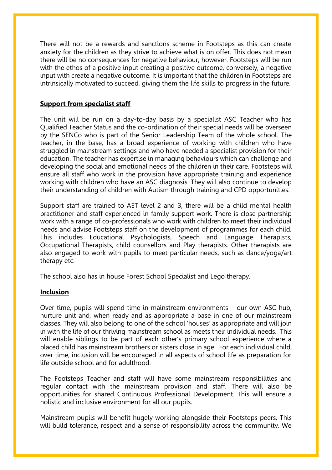There will not be a rewards and sanctions scheme in Footsteps as this can create anxiety for the children as they strive to achieve what is on offer. This does not mean there will be no consequences for negative behaviour, however. Footsteps will be run with the ethos of a positive input creating a positive outcome, conversely, a negative input with create a negative outcome. It is important that the children in Footsteps are intrinsically motivated to succeed, giving them the life skills to progress in the future.

# **Support from specialist staff**

The unit will be run on a day-to-day basis by a specialist ASC Teacher who has Qualified Teacher Status and the co-ordination of their special needs will be overseen by the SENCo who is part of the Senior Leadership Team of the whole school. The teacher, in the base, has a broad experience of working with children who have struggled in mainstream settings and who have needed a specialist provision for their education. The teacher has expertise in managing behaviours which can challenge and developing the social and emotional needs of the children in their care. Footsteps will ensure all staff who work in the provision have appropriate training and experience working with children who have an ASC diagnosis. They will also continue to develop their understanding of children with Autism through training and CPD opportunities.

Support staff are trained to AET level 2 and 3, there will be a child mental health practitioner and staff experienced in family support work. There is close partnership work with a range of co-professionals who work with children to meet their individual needs and advise Footsteps staff on the development of programmes for each child. This includes Educational Psychologists, Speech and Language Therapists, Occupational Therapists, child counsellors and Play therapists. Other therapists are also engaged to work with pupils to meet particular needs, such as dance/yoga/art therapy etc.

The school also has in house Forest School Specialist and Lego therapy.

# **Inclusion**

Over time, pupils will spend time in mainstream environments – our own ASC hub, nurture unit and, when ready and as appropriate a base in one of our mainstream classes. They will also belong to one of the school 'houses' as appropriate and will join in with the life of our thriving mainstream school as meets their individual needs. This will enable siblings to be part of each other's primary school experience where a placed child has mainstream brothers or sisters close in age. For each individual child, over time, inclusion will be encouraged in all aspects of school life as preparation for life outside school and for adulthood.

The Footsteps Teacher and staff will have some mainstream responsibilities and regular contact with the mainstream provision and staff. There will also be opportunities for shared Continuous Professional Development. This will ensure a holistic and inclusive environment for all our pupils.

Mainstream pupils will benefit hugely working alongside their Footsteps peers. This will build tolerance, respect and a sense of responsibility across the community. We